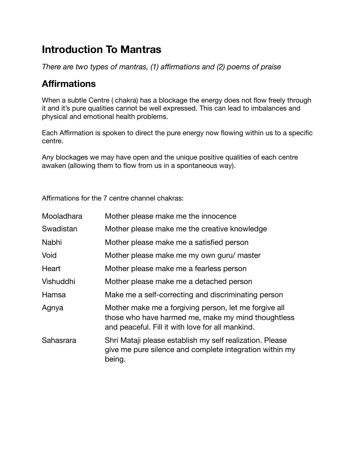# **Introduction To Mantras**

*There are two types of mantras, (1) affirmations and (2) poems of praise* 

## **Affirmations**

When a subtle Centre ( chakra) has a blockage the energy does not flow freely through it and it's pure qualities cannot be well expressed. This can lead to imbalances and physical and emotional health problems.

Each Affirmation is spoken to direct the pure energy now flowing within us to a specific centre.

Any blockages we may have open and the unique positive qualities of each centre awaken (allowing them to flow from us in a spontaneous way).

Affirmations for the 7 centre channel chakras:

| Mooladhara | Mother please make me the innocence                                                                                                                             |
|------------|-----------------------------------------------------------------------------------------------------------------------------------------------------------------|
| Swadistan  | Mother please make me the creative knowledge                                                                                                                    |
| Nabhi      | Mother please make me a satisfied person                                                                                                                        |
| Void       | Mother please make me my own guru/ master                                                                                                                       |
| Heart      | Mother please make me a fearless person                                                                                                                         |
| Vishuddhi  | Mother please make me a detached person                                                                                                                         |
| Hamsa      | Make me a self-correcting and discriminating person                                                                                                             |
| Agnya      | Mother make me a forgiving person, let me forgive all<br>those who have harmed me, make my mind thoughtless<br>and peaceful. Fill it with love for all mankind. |
| Sahasrara  | Shri Mataji please establish my self realization. Please<br>give me pure silence and complete integration within my<br>being.                                   |